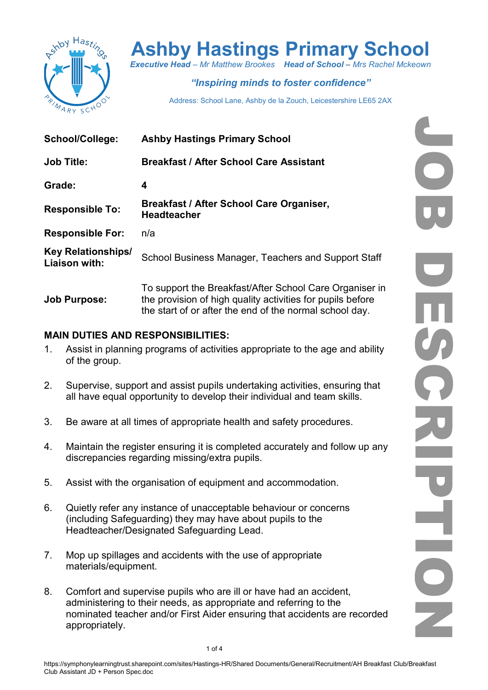

# Ashby Hastings Primary School

Executive Head – Mr Matthew Brookes Head of School – Mrs Rachel Mckeown

## "Inspiring minds to foster confidence"

Address: School Lane, Ashby de la Zouch, Leicestershire LE65 2AX

| <b>School/College:</b>                     | <b>Ashby Hastings Primary School</b>                                                                                                                                             |  |  |
|--------------------------------------------|----------------------------------------------------------------------------------------------------------------------------------------------------------------------------------|--|--|
| <b>Job Title:</b>                          | <b>Breakfast / After School Care Assistant</b>                                                                                                                                   |  |  |
| Grade:                                     | 4                                                                                                                                                                                |  |  |
| <b>Responsible To:</b>                     | Breakfast / After School Care Organiser,<br><b>Headteacher</b>                                                                                                                   |  |  |
| <b>Responsible For:</b>                    | n/a                                                                                                                                                                              |  |  |
| <b>Key Relationships/</b><br>Liaison with: | School Business Manager, Teachers and Support Staff                                                                                                                              |  |  |
| <b>Job Purpose:</b>                        | To support the Breakfast/After School Care Organiser in<br>the provision of high quality activities for pupils before<br>the start of or after the end of the normal school day. |  |  |

#### MAIN DUTIES AND RESPONSIBILITIES:

- 1. Assist in planning programs of activities appropriate to the age and ability of the group.
- 2. Supervise, support and assist pupils undertaking activities, ensuring that all have equal opportunity to develop their individual and team skills.
- 3. Be aware at all times of appropriate health and safety procedures.
- 4. Maintain the register ensuring it is completed accurately and follow up any discrepancies regarding missing/extra pupils.
- 5. Assist with the organisation of equipment and accommodation.
- 6. Quietly refer any instance of unacceptable behaviour or concerns (including Safeguarding) they may have about pupils to the Headteacher/Designated Safeguarding Lead.
- 7. Mop up spillages and accidents with the use of appropriate materials/equipment.
- 8. Comfort and supervise pupils who are ill or have had an accident, administering to their needs, as appropriate and referring to the nominated teacher and/or First Aider ensuring that accidents are recorded appropriately.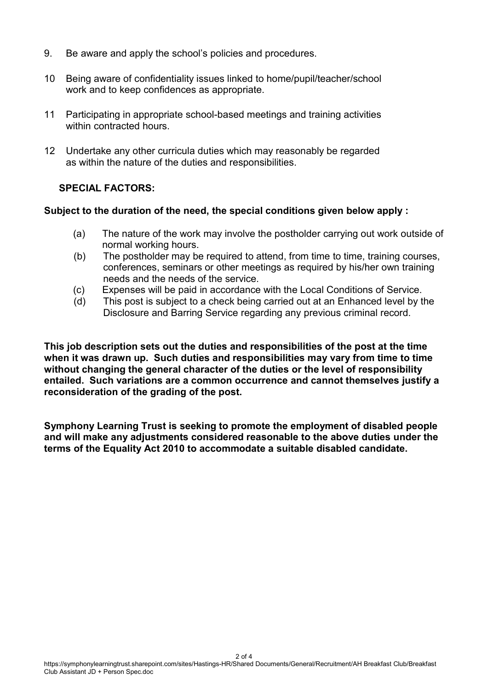- 9. Be aware and apply the school's policies and procedures.
- 10 Being aware of confidentiality issues linked to home/pupil/teacher/school work and to keep confidences as appropriate.
- 11 Participating in appropriate school-based meetings and training activities within contracted hours.
- 12 Undertake any other curricula duties which may reasonably be regarded as within the nature of the duties and responsibilities.

#### SPECIAL FACTORS:

#### Subject to the duration of the need, the special conditions given below apply :

- (a) The nature of the work may involve the postholder carrying out work outside of normal working hours.
- (b) The postholder may be required to attend, from time to time, training courses, conferences, seminars or other meetings as required by his/her own training needs and the needs of the service.
- (c) Expenses will be paid in accordance with the Local Conditions of Service.
- (d) This post is subject to a check being carried out at an Enhanced level by the Disclosure and Barring Service regarding any previous criminal record.

This job description sets out the duties and responsibilities of the post at the time when it was drawn up. Such duties and responsibilities may vary from time to time without changing the general character of the duties or the level of responsibility entailed. Such variations are a common occurrence and cannot themselves justify a reconsideration of the grading of the post.

Symphony Learning Trust is seeking to promote the employment of disabled people and will make any adjustments considered reasonable to the above duties under the terms of the Equality Act 2010 to accommodate a suitable disabled candidate.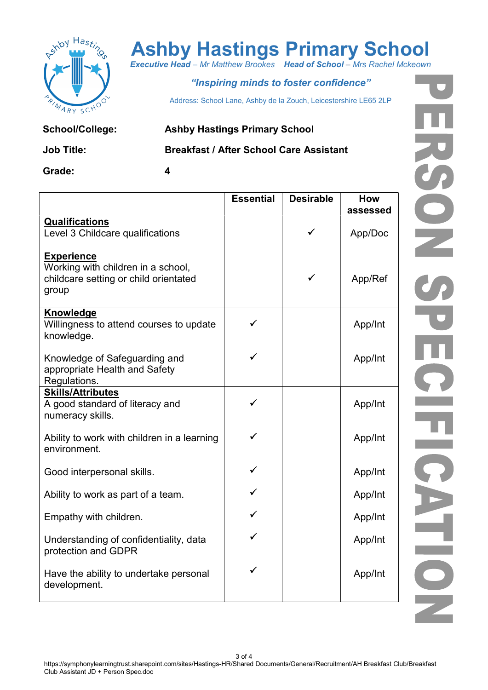

# Ashby Hastings Primary School

**Executive Head – Mr Matthew Brookes Head of School – Mrs Rachel Mckeown** 

### "Inspiring minds to foster confidence"

Address: School Lane, Ashby de la Zouch, Leicestershire LE65 2LP

School/College: Ashby Hastings Primary School

### Job Title: Breakfast / After School Care Assistant

Grade: 4

| <b>Qualifications</b><br>$\checkmark$<br>Level 3 Childcare qualifications<br><b>Experience</b><br>Working with children in a school,<br>$\checkmark$<br>childcare setting or child orientated<br>App/Ref<br>group<br>Knowledge<br>Willingness to attend courses to update<br>App/Int<br>knowledge. | <b>Essential</b> | <b>Desirable</b> | How<br>assessed |
|----------------------------------------------------------------------------------------------------------------------------------------------------------------------------------------------------------------------------------------------------------------------------------------------------|------------------|------------------|-----------------|
|                                                                                                                                                                                                                                                                                                    |                  |                  | App/Doc         |
|                                                                                                                                                                                                                                                                                                    |                  |                  |                 |
|                                                                                                                                                                                                                                                                                                    |                  |                  |                 |
| App/Int<br>Knowledge of Safeguarding and<br>appropriate Health and Safety<br>Regulations.                                                                                                                                                                                                          |                  |                  |                 |
| <b>Skills/Attributes</b><br>A good standard of literacy and<br>App/Int<br>numeracy skills.                                                                                                                                                                                                         |                  |                  |                 |
| Ability to work with children in a learning<br>App/Int<br>environment.                                                                                                                                                                                                                             |                  |                  |                 |
| App/Int<br>Good interpersonal skills.                                                                                                                                                                                                                                                              |                  |                  |                 |
| App/Int<br>Ability to work as part of a team.                                                                                                                                                                                                                                                      |                  |                  |                 |
| App/Int<br>Empathy with children.                                                                                                                                                                                                                                                                  |                  |                  |                 |
| App/Int<br>Understanding of confidentiality, data<br>protection and GDPR                                                                                                                                                                                                                           |                  |                  |                 |
| Have the ability to undertake personal<br>App/Int<br>development.                                                                                                                                                                                                                                  |                  |                  |                 |